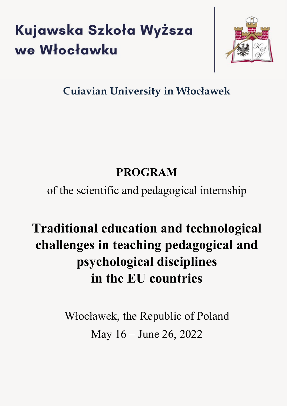# Kujawska Szkoła Wyższa we Włocławku



### **Cuiavian University in Włocławek**

### **PROGRAM**

of the scientific and pedagogical internship

## **Traditional education and technological challenges in teaching pedagogical and psychological disciplines in the EU countries**

Włocławek, the Republic of Poland May 16 – June 26, 2022